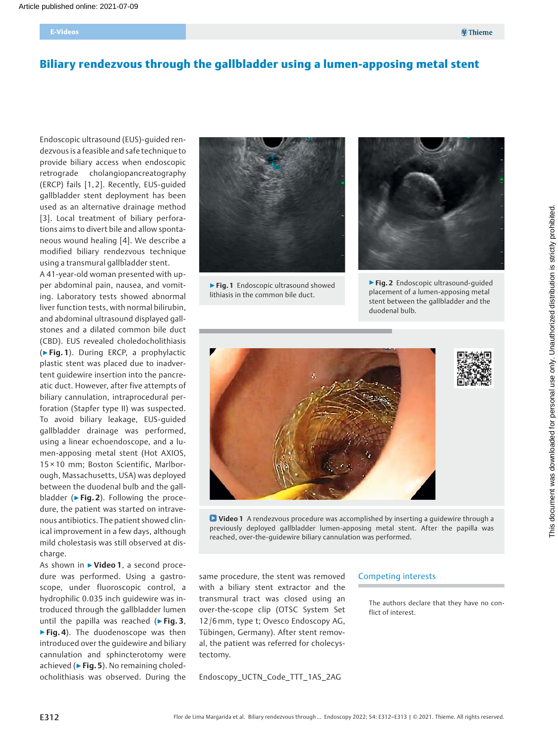# Biliary rendezvous through the gallbladder using a lumen-apposing metal stent

Endoscopic ultrasound (EUS)-guided rendezvous is a feasible and safe technique to provide biliary access when endoscopic retrograde cholangiopancreatography (ERCP) fails [1, 2]. Recently, EUS-guided gallbladder stent deployment has been used as an alternative drainage method [3]. Local treatment of biliary perforations aims to divert bile and allow spontaneous wound healing [4]. We describe a modified biliary rendezvous technique using a transmural gallbladder stent.

A 41-year-old woman presented with upper abdominal pain, nausea, and vomiting. Laboratory tests showed abnormal liver function tests, with normal bilirubin, and abdominal ultrasound displayed gallstones and a dilated common bile duct (CBD). EUS revealed choledocholithiasis (▶Fig. 1). During ERCP, a prophylactic plastic stent was placed due to inadvertent guidewire insertion into the pancreatic duct. However, after five attempts of biliary cannulation, intraprocedural perforation (Stapfer type II) was suspected. To avoid biliary leakage, EUS-guided gallbladder drainage was performed, using a linear echoendoscope, and a lumen-apposing metal stent (Hot AXIOS, 15 × 10 mm; Boston Scientific, Marlborough, Massachusetts, USA) was deployed between the duodenal bulb and the gallbladder ( $\blacktriangleright$  Fig. 2). Following the procedure, the patient was started on intravenous antibiotics. The patient showed clinical improvement in a few days, although mild cholestasis was still observed at discharge.

As shown in ▶Video 1, a second procedure was performed. Using a gastroscope, under fluoroscopic control, a hydrophilic 0.035 inch guidewire was introduced through the gallbladder lumen until the papilla was reached ( $\triangleright$  Fig. 3, ▶ Fig. 4). The duodenoscope was then introduced over the guidewire and biliary cannulation and sphincterotomy were achieved ( $\triangleright$  Fig. 5). No remaining choledocholithiasis was observed. During the



▶ Fig. 1 Endoscopic ultrasound showed lithiasis in the common bile duct.



▶Fig. 2 Endoscopic ultrasound-guided placement of a lumen-apposing metal stent between the gallbladder and the duodenal bulb.



Video 1 A rendezvous procedure was accomplished by inserting a guidewire through a previously deployed gallbladder lumen-apposing metal stent. After the papilla was reached, over-the-guidewire biliary cannulation was performed.

same procedure, the stent was removed with a biliary stent extractor and the transmural tract was closed using an over-the-scope clip (OTSC System Set 12 /6 mm, type t; Ovesco Endoscopy AG, Tübingen, Germany). After stent removal, the patient was referred for cholecystectomy.

Endoscopy\_UCTN\_Code\_TTT\_1AS\_2AG

#### Competing interests

The authors declare that they have no conflict of interest.